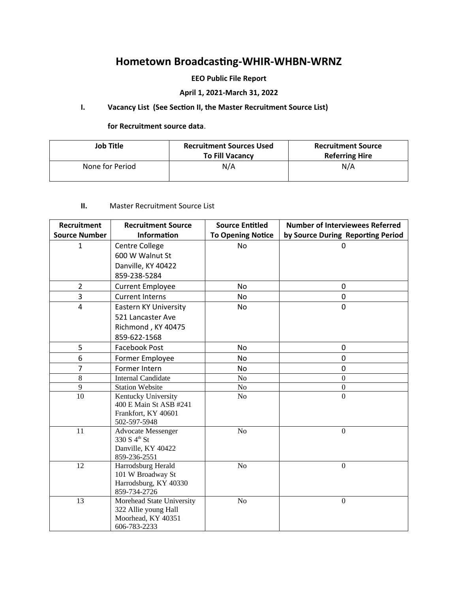# **Hometown Broadcasting-WHIR-WHBN-WRNZ**

## **EEO Public File Report**

# **April 1, 2021-March 31, 2022**

# **I. Vacancy List (See Section II, the Master Recruitment Source List)**

#### **for Recruitment source data**.

| Job Title       | <b>Recruitment Sources Used</b><br><b>To Fill Vacancy</b> | <b>Recruitment Source</b><br><b>Referring Hire</b> |
|-----------------|-----------------------------------------------------------|----------------------------------------------------|
| None for Period | N/A                                                       | N/A                                                |

## **II.** Master Recruitment Source List

| <b>Recruitment Source</b>    | <b>Source Entitled</b>                                                                                                                                                                                                                                                                                 | <b>Number of Interviewees Referred</b> |
|------------------------------|--------------------------------------------------------------------------------------------------------------------------------------------------------------------------------------------------------------------------------------------------------------------------------------------------------|----------------------------------------|
| <b>Information</b>           | <b>To Opening Notice</b>                                                                                                                                                                                                                                                                               | by Source During Reporting Period      |
| Centre College               | <b>No</b>                                                                                                                                                                                                                                                                                              | 0                                      |
| 600 W Walnut St              |                                                                                                                                                                                                                                                                                                        |                                        |
| Danville, KY 40422           |                                                                                                                                                                                                                                                                                                        |                                        |
| 859-238-5284                 |                                                                                                                                                                                                                                                                                                        |                                        |
| <b>Current Employee</b>      | <b>No</b>                                                                                                                                                                                                                                                                                              | 0                                      |
| <b>Current Interns</b>       | <b>No</b>                                                                                                                                                                                                                                                                                              | 0                                      |
| <b>Eastern KY University</b> | No                                                                                                                                                                                                                                                                                                     | 0                                      |
| 521 Lancaster Ave            |                                                                                                                                                                                                                                                                                                        |                                        |
| Richmond, KY 40475           |                                                                                                                                                                                                                                                                                                        |                                        |
| 859-622-1568                 |                                                                                                                                                                                                                                                                                                        |                                        |
| <b>Facebook Post</b>         | <b>No</b>                                                                                                                                                                                                                                                                                              | 0                                      |
| Former Employee              | <b>No</b>                                                                                                                                                                                                                                                                                              | 0                                      |
| Former Intern                | <b>No</b>                                                                                                                                                                                                                                                                                              | 0                                      |
| <b>Internal Candidate</b>    | $\rm No$                                                                                                                                                                                                                                                                                               | $\mathbf{0}$                           |
| <b>Station Website</b>       | No                                                                                                                                                                                                                                                                                                     | $\boldsymbol{0}$                       |
|                              | No                                                                                                                                                                                                                                                                                                     | $\overline{0}$                         |
|                              |                                                                                                                                                                                                                                                                                                        |                                        |
|                              |                                                                                                                                                                                                                                                                                                        |                                        |
|                              |                                                                                                                                                                                                                                                                                                        | $\overline{0}$                         |
|                              |                                                                                                                                                                                                                                                                                                        |                                        |
| Danville, KY 40422           |                                                                                                                                                                                                                                                                                                        |                                        |
| 859-236-2551                 |                                                                                                                                                                                                                                                                                                        |                                        |
| Harrodsburg Herald           | $\rm No$                                                                                                                                                                                                                                                                                               | $\overline{0}$                         |
|                              |                                                                                                                                                                                                                                                                                                        |                                        |
|                              |                                                                                                                                                                                                                                                                                                        |                                        |
|                              |                                                                                                                                                                                                                                                                                                        |                                        |
|                              |                                                                                                                                                                                                                                                                                                        | $\mathbf{0}$                           |
|                              |                                                                                                                                                                                                                                                                                                        |                                        |
|                              |                                                                                                                                                                                                                                                                                                        |                                        |
|                              | Kentucky University<br>400 E Main St ASB #241<br>Frankfort, KY 40601<br>502-597-5948<br><b>Advocate Messenger</b><br>330 S 4 <sup>th</sup> St<br>101 W Broadway St<br>Harrodsburg, KY 40330<br>859-734-2726<br>Morehead State University<br>322 Allie young Hall<br>Moorhead, KY 40351<br>606-783-2233 | No<br>No                               |